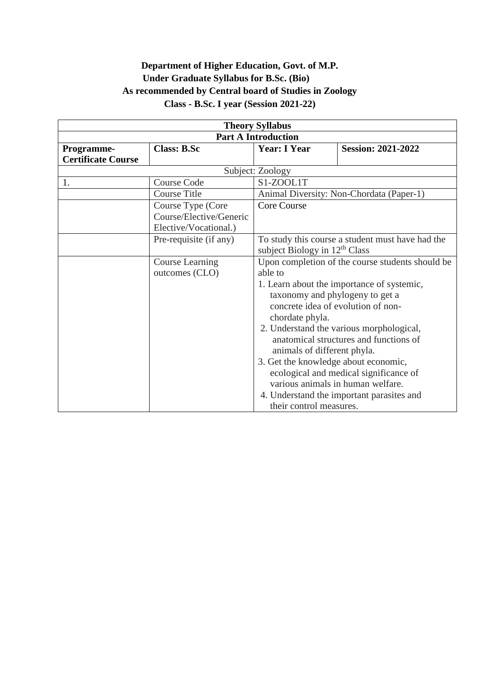## **Department of Higher Education, Govt. of M.P. Under Graduate Syllabus for B.Sc. (Bio) As recommended by Central board of Studies in Zoology Class - B.Sc. I year (Session 2021-22)**

| <b>Theory Syllabus</b>     |                         |                                                  |                                           |  |
|----------------------------|-------------------------|--------------------------------------------------|-------------------------------------------|--|
| <b>Part A Introduction</b> |                         |                                                  |                                           |  |
| Programme-                 | <b>Class: B.Sc</b>      | <b>Year: I Year</b>                              | <b>Session: 2021-2022</b>                 |  |
| <b>Certificate Course</b>  |                         |                                                  |                                           |  |
|                            | Subject: Zoology        |                                                  |                                           |  |
| 1.                         | <b>Course Code</b>      | S1-ZOOL1T                                        |                                           |  |
|                            | <b>Course Title</b>     |                                                  | Animal Diversity: Non-Chordata (Paper-1)  |  |
|                            | Course Type (Core       | <b>Core Course</b>                               |                                           |  |
|                            | Course/Elective/Generic |                                                  |                                           |  |
|                            | Elective/Vocational.)   |                                                  |                                           |  |
|                            | Pre-requisite (if any)  | To study this course a student must have had the |                                           |  |
|                            |                         | subject Biology in $12th$ Class                  |                                           |  |
|                            | Course Learning         | Upon completion of the course students should be |                                           |  |
|                            | outcomes (CLO)          | able to                                          |                                           |  |
|                            |                         | 1. Learn about the importance of systemic,       |                                           |  |
|                            |                         | taxonomy and phylogeny to get a                  |                                           |  |
|                            |                         | concrete idea of evolution of non-               |                                           |  |
|                            |                         | chordate phyla.                                  |                                           |  |
|                            |                         | 2. Understand the various morphological,         |                                           |  |
|                            |                         | anatomical structures and functions of           |                                           |  |
|                            |                         | animals of different phyla.                      |                                           |  |
|                            |                         | 3. Get the knowledge about economic,             |                                           |  |
|                            |                         | ecological and medical significance of           |                                           |  |
|                            |                         | various animals in human welfare.                |                                           |  |
|                            |                         |                                                  | 4. Understand the important parasites and |  |
|                            |                         | their control measures.                          |                                           |  |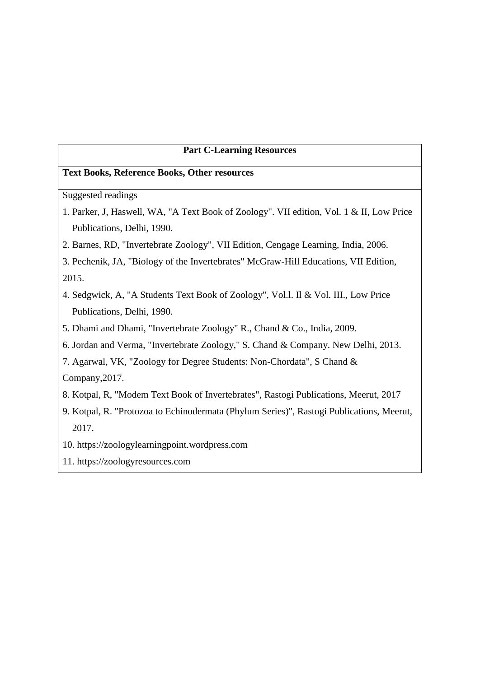#### **Part C-Learning Resources**

#### **Text Books, Reference Books, Other resources**

Suggested readings

- 1. Parker, J, Haswell, WA, "A Text Book of Zoology". VII edition, Vol. 1 & II, Low Price Publications, Delhi, 1990.
- 2. Barnes, RD, "Invertebrate Zoology", VII Edition, Cengage Learning, India, 2006.
- 3. Pechenik, JA, "Biology of the Invertebrates" McGraw-Hill Educations, VII Edition, 2015.
- 4. Sedgwick, A, "A Students Text Book of Zoology", Vol.l. Il & Vol. III., Low Price Publications, Delhi, 1990.
- 5. Dhami and Dhami, "Invertebrate Zoology" R., Chand & Co., India, 2009.
- 6. Jordan and Verma, "Invertebrate Zoology," S. Chand & Company. New Delhi, 2013.
- 7. Agarwal, VK, "Zoology for Degree Students: Non-Chordata", S Chand &

Company,2017.

- 8. Kotpal, R, "Modem Text Book of Invertebrates", Rastogi Publications, Meerut, 2017
- 9. Kotpal, R. "Protozoa to Echinodermata (Phylum Series)", Rastogi Publications, Meerut, 2017.
- 10. https://zoologylearningpoint.wordpress.com
- 11. https://zoologyresources.com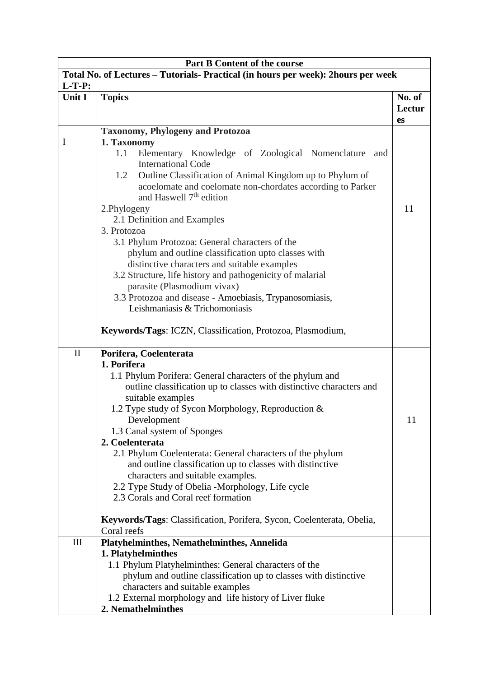| <b>Part B Content of the course</b>                                               |                                                                                                                                                               |        |  |  |
|-----------------------------------------------------------------------------------|---------------------------------------------------------------------------------------------------------------------------------------------------------------|--------|--|--|
| Total No. of Lectures – Tutorials- Practical (in hours per week): 2hours per week |                                                                                                                                                               |        |  |  |
| $L-T-P:$                                                                          |                                                                                                                                                               |        |  |  |
| Unit I                                                                            | <b>Topics</b>                                                                                                                                                 | No. of |  |  |
|                                                                                   |                                                                                                                                                               | Lectur |  |  |
|                                                                                   |                                                                                                                                                               | es     |  |  |
| I                                                                                 | <b>Taxonomy, Phylogeny and Protozoa</b><br>1. Taxonomy                                                                                                        |        |  |  |
|                                                                                   | 1.1<br>Elementary Knowledge of Zoological Nomenclature<br>and<br><b>International Code</b><br>Outline Classification of Animal Kingdom up to Phylum of<br>1.2 |        |  |  |
|                                                                                   | acoelomate and coelomate non-chordates according to Parker<br>and Haswell 7 <sup>th</sup> edition                                                             |        |  |  |
|                                                                                   | 2.Phylogeny                                                                                                                                                   | 11     |  |  |
|                                                                                   | 2.1 Definition and Examples<br>3. Protozoa                                                                                                                    |        |  |  |
|                                                                                   | 3.1 Phylum Protozoa: General characters of the                                                                                                                |        |  |  |
|                                                                                   | phylum and outline classification upto classes with                                                                                                           |        |  |  |
|                                                                                   | distinctive characters and suitable examples                                                                                                                  |        |  |  |
|                                                                                   | 3.2 Structure, life history and pathogenicity of malarial                                                                                                     |        |  |  |
|                                                                                   | parasite (Plasmodium vivax)                                                                                                                                   |        |  |  |
|                                                                                   | 3.3 Protozoa and disease - Amoebiasis, Trypanosomiasis,                                                                                                       |        |  |  |
|                                                                                   | Leishmaniasis & Trichomoniasis                                                                                                                                |        |  |  |
|                                                                                   | Keywords/Tags: ICZN, Classification, Protozoa, Plasmodium,                                                                                                    |        |  |  |
| $\mathbf{I}$                                                                      | Porifera, Coelenterata                                                                                                                                        |        |  |  |
|                                                                                   | 1. Porifera                                                                                                                                                   |        |  |  |
|                                                                                   | 1.1 Phylum Porifera: General characters of the phylum and                                                                                                     |        |  |  |
|                                                                                   | outline classification up to classes with distinctive characters and<br>suitable examples                                                                     |        |  |  |
|                                                                                   | 1.2 Type study of Sycon Morphology, Reproduction &                                                                                                            |        |  |  |
|                                                                                   | Development                                                                                                                                                   | 11     |  |  |
|                                                                                   | 1.3 Canal system of Sponges                                                                                                                                   |        |  |  |
|                                                                                   | 2. Coelenterata                                                                                                                                               |        |  |  |
|                                                                                   | 2.1 Phylum Coelenterata: General characters of the phylum                                                                                                     |        |  |  |
|                                                                                   | and outline classification up to classes with distinctive                                                                                                     |        |  |  |
|                                                                                   | characters and suitable examples.                                                                                                                             |        |  |  |
|                                                                                   | 2.2 Type Study of Obelia -Morphology, Life cycle                                                                                                              |        |  |  |
|                                                                                   | 2.3 Corals and Coral reef formation                                                                                                                           |        |  |  |
|                                                                                   | Keywords/Tags: Classification, Porifera, Sycon, Coelenterata, Obelia,                                                                                         |        |  |  |
|                                                                                   | Coral reefs                                                                                                                                                   |        |  |  |
| III                                                                               | Platyhelminthes, Nemathelminthes, Annelida                                                                                                                    |        |  |  |
|                                                                                   | 1. Platyhelminthes                                                                                                                                            |        |  |  |
|                                                                                   | 1.1 Phylum Platyhelminthes: General characters of the                                                                                                         |        |  |  |
|                                                                                   | phylum and outline classification up to classes with distinctive                                                                                              |        |  |  |
|                                                                                   | characters and suitable examples                                                                                                                              |        |  |  |
|                                                                                   | 1.2 External morphology and life history of Liver fluke                                                                                                       |        |  |  |
|                                                                                   | 2. Nemathelminthes                                                                                                                                            |        |  |  |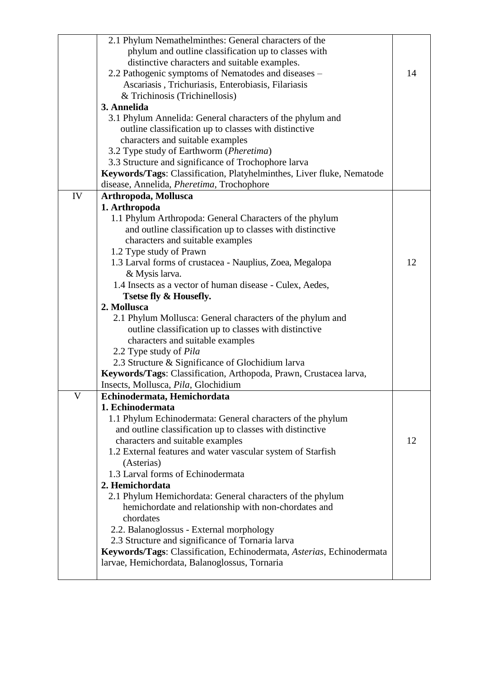|    | 2.1 Phylum Nemathelminthes: General characters of the                 |    |
|----|-----------------------------------------------------------------------|----|
|    | phylum and outline classification up to classes with                  |    |
|    | distinctive characters and suitable examples.                         |    |
|    | 2.2 Pathogenic symptoms of Nematodes and diseases –                   | 14 |
|    | Ascariasis, Trichuriasis, Enterobiasis, Filariasis                    |    |
|    | & Trichinosis (Trichinellosis)                                        |    |
|    | 3. Annelida                                                           |    |
|    | 3.1 Phylum Annelida: General characters of the phylum and             |    |
|    | outline classification up to classes with distinctive                 |    |
|    | characters and suitable examples                                      |    |
|    | 3.2 Type study of Earthworm (Pheretima)                               |    |
|    | 3.3 Structure and significance of Trochophore larva                   |    |
|    | Keywords/Tags: Classification, Platyhelminthes, Liver fluke, Nematode |    |
|    | disease, Annelida, Pheretima, Trochophore                             |    |
| IV | Arthropoda, Mollusca                                                  |    |
|    | 1. Arthropoda                                                         |    |
|    | 1.1 Phylum Arthropoda: General Characters of the phylum               |    |
|    | and outline classification up to classes with distinctive             |    |
|    | characters and suitable examples                                      |    |
|    | 1.2 Type study of Prawn                                               |    |
|    | 1.3 Larval forms of crustacea - Nauplius, Zoea, Megalopa              | 12 |
|    | & Mysis larva.                                                        |    |
|    | 1.4 Insects as a vector of human disease - Culex, Aedes,              |    |
|    | <b>Tsetse fly &amp; Housefly.</b>                                     |    |
|    | 2. Mollusca                                                           |    |
|    | 2.1 Phylum Mollusca: General characters of the phylum and             |    |
|    | outline classification up to classes with distinctive                 |    |
|    | characters and suitable examples                                      |    |
|    | 2.2 Type study of Pila                                                |    |
|    | 2.3 Structure & Significance of Glochidium larva                      |    |
|    | Keywords/Tags: Classification, Arthopoda, Prawn, Crustacea larva,     |    |
|    | Insects, Mollusca, Pila, Glochidium                                   |    |
| V  | Echinodermata, Hemichordata                                           |    |
|    | 1. Echinodermata                                                      |    |
|    | 1.1 Phylum Echinodermata: General characters of the phylum            |    |
|    | and outline classification up to classes with distinctive             |    |
|    | characters and suitable examples                                      | 12 |
|    | 1.2 External features and water vascular system of Starfish           |    |
|    | (Asterias)                                                            |    |
|    | 1.3 Larval forms of Echinodermata                                     |    |
|    | 2. Hemichordata                                                       |    |
|    | 2.1 Phylum Hemichordata: General characters of the phylum             |    |
|    | hemichordate and relationship with non-chordates and                  |    |
|    | chordates                                                             |    |
|    | 2.2. Balanoglossus - External morphology                              |    |
|    | 2.3 Structure and significance of Tornaria larva                      |    |
|    |                                                                       |    |
|    | Keywords/Tags: Classification, Echinodermata, Asterias, Echinodermata |    |
|    | larvae, Hemichordata, Balanoglossus, Tornaria                         |    |
|    |                                                                       |    |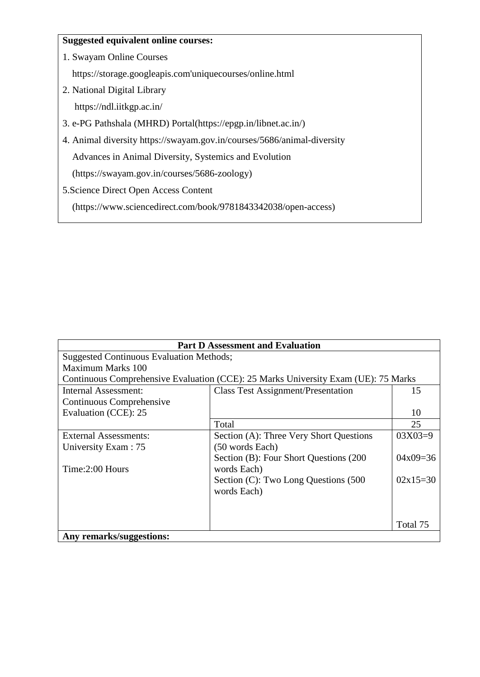#### **Suggested equivalent online courses:**

1. Swayam Online Courses

https://storage.googleapis.com'uniquecourses/online.html

- 2. National Digital Library https://ndl.iitkgp.ac.in/
- 3. e-PG Pathshala (MHRD) Portal(https://epgp.in/libnet.ac.in/)
- 4. Animal diversity https://swayam.gov.in/courses/5686/animal-diversity Advances in Animal Diversity, Systemics and Evolution

(https://swayam.gov.in/courses/5686-zoology)

5.Science Direct Open Access Content

(https://www.sciencedirect.com/book/9781843342038/open-access)

| <b>Part D Assessment and Evaluation</b>         |                                                                                    |            |  |  |
|-------------------------------------------------|------------------------------------------------------------------------------------|------------|--|--|
| <b>Suggested Continuous Evaluation Methods;</b> |                                                                                    |            |  |  |
| Maximum Marks 100                               |                                                                                    |            |  |  |
|                                                 | Continuous Comprehensive Evaluation (CCE): 25 Marks University Exam (UE): 75 Marks |            |  |  |
| Internal Assessment:                            | <b>Class Test Assignment/Presentation</b>                                          | 15         |  |  |
| Continuous Comprehensive                        |                                                                                    |            |  |  |
| Evaluation (CCE): 25                            |                                                                                    | 10         |  |  |
|                                                 | Total                                                                              | 25         |  |  |
| External Assessments:                           | Section (A): Three Very Short Questions                                            | $03X03=9$  |  |  |
| University Exam: 75                             | (50 words Each)                                                                    |            |  |  |
|                                                 | Section (B): Four Short Questions (200                                             | $04x09=36$ |  |  |
| Time:2:00 Hours                                 | words Each)                                                                        |            |  |  |
|                                                 | Section (C): Two Long Questions (500                                               | $02x15=30$ |  |  |
|                                                 | words Each)                                                                        |            |  |  |
|                                                 |                                                                                    |            |  |  |
|                                                 |                                                                                    |            |  |  |
|                                                 |                                                                                    | Total 75   |  |  |
| Any remarks/suggestions:                        |                                                                                    |            |  |  |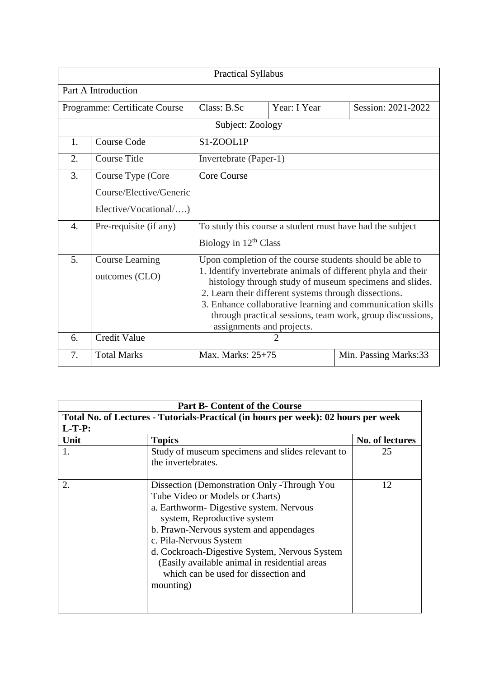| <b>Practical Syllabus</b> |                                          |                                                                                                                                                                                                                                                                                                                                                                                                       |              |                       |  |
|---------------------------|------------------------------------------|-------------------------------------------------------------------------------------------------------------------------------------------------------------------------------------------------------------------------------------------------------------------------------------------------------------------------------------------------------------------------------------------------------|--------------|-----------------------|--|
|                           | Part A Introduction                      |                                                                                                                                                                                                                                                                                                                                                                                                       |              |                       |  |
|                           | Programme: Certificate Course            | Class: B.Sc                                                                                                                                                                                                                                                                                                                                                                                           | Year: I Year | Session: 2021-2022    |  |
|                           |                                          | Subject: Zoology                                                                                                                                                                                                                                                                                                                                                                                      |              |                       |  |
| 1.                        | <b>Course Code</b><br>S1-ZOOL1P          |                                                                                                                                                                                                                                                                                                                                                                                                       |              |                       |  |
| 2.                        | <b>Course Title</b>                      | Invertebrate (Paper-1)                                                                                                                                                                                                                                                                                                                                                                                |              |                       |  |
| 3.                        | Course Type (Core                        | <b>Core Course</b>                                                                                                                                                                                                                                                                                                                                                                                    |              |                       |  |
|                           | Course/Elective/Generic                  |                                                                                                                                                                                                                                                                                                                                                                                                       |              |                       |  |
|                           | Elective/Vocational/)                    |                                                                                                                                                                                                                                                                                                                                                                                                       |              |                       |  |
| $\overline{4}$ .          | Pre-requisite (if any)                   | To study this course a student must have had the subject                                                                                                                                                                                                                                                                                                                                              |              |                       |  |
|                           |                                          | Biology in $12th$ Class                                                                                                                                                                                                                                                                                                                                                                               |              |                       |  |
| 5.                        | <b>Course Learning</b><br>outcomes (CLO) | Upon completion of the course students should be able to<br>1. Identify invertebrate animals of different phyla and their<br>histology through study of museum specimens and slides.<br>2. Learn their different systems through dissections.<br>3. Enhance collaborative learning and communication skills<br>through practical sessions, team work, group discussions,<br>assignments and projects. |              |                       |  |
| 6.                        | <b>Credit Value</b>                      |                                                                                                                                                                                                                                                                                                                                                                                                       | 2            |                       |  |
| 7.                        | <b>Total Marks</b>                       | Max. Marks: 25+75                                                                                                                                                                                                                                                                                                                                                                                     |              | Min. Passing Marks:33 |  |

| <b>Part B- Content of the Course</b>                                               |                                                                                                                                                                                                                                                                                                                                                                                     |                 |  |
|------------------------------------------------------------------------------------|-------------------------------------------------------------------------------------------------------------------------------------------------------------------------------------------------------------------------------------------------------------------------------------------------------------------------------------------------------------------------------------|-----------------|--|
| Total No. of Lectures - Tutorials-Practical (in hours per week): 02 hours per week |                                                                                                                                                                                                                                                                                                                                                                                     |                 |  |
| $L-T-P:$                                                                           |                                                                                                                                                                                                                                                                                                                                                                                     |                 |  |
| Unit                                                                               | <b>Topics</b>                                                                                                                                                                                                                                                                                                                                                                       | No. of lectures |  |
|                                                                                    | Study of museum specimens and slides relevant to<br>the invertebrates.                                                                                                                                                                                                                                                                                                              | 25              |  |
| 2.                                                                                 | Dissection (Demonstration Only -Through You<br>Tube Video or Models or Charts)<br>a. Earthworm- Digestive system. Nervous<br>system, Reproductive system<br>b. Prawn-Nervous system and appendages<br>c. Pila-Nervous System<br>d. Cockroach-Digestive System, Nervous System<br>(Easily available animal in residential areas<br>which can be used for dissection and<br>mounting) | 12              |  |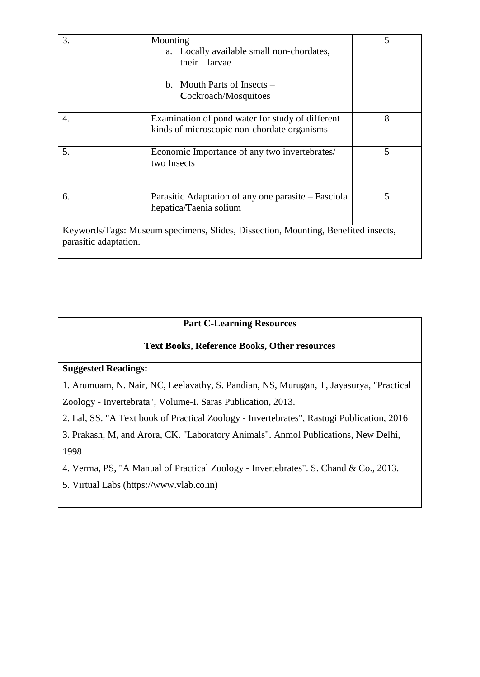| 3.                    | Mounting<br>a. Locally available small non-chordates,<br>their larvae<br>b. Mouth Parts of Insects $-$<br>Cockroach/Mosquitoes | 5 |
|-----------------------|--------------------------------------------------------------------------------------------------------------------------------|---|
| 4.                    | Examination of pond water for study of different<br>kinds of microscopic non-chordate organisms                                | 8 |
| 5.                    | Economic Importance of any two invertebrates/<br>two Insects                                                                   | 5 |
| 6.                    | Parasitic Adaptation of any one parasite – Fasciola<br>hepatica/Taenia solium                                                  | 5 |
| parasitic adaptation. | Keywords/Tags: Museum specimens, Slides, Dissection, Mounting, Benefited insects,                                              |   |

# **Part C-Learning Resources**

## **Text Books, Reference Books, Other resources**

### **Suggested Readings:**

1. Arumuam, N. Nair, NC, Leelavathy, S. Pandian, NS, Murugan, T, Jayasurya, "Practical Zoology - Invertebrata", Volume-I. Saras Publication, 2013.

2. Lal, SS. "A Text book of Practical Zoology - Invertebrates", Rastogi Publication, 2016

3. Prakash, M, and Arora, CK. "Laboratory Animals". Anmol Publications, New Delhi, 1998

4. Verma, PS, "A Manual of Practical Zoology - Invertebrates". S. Chand & Co., 2013.

5. Virtual Labs (https://www.vlab.co.in)